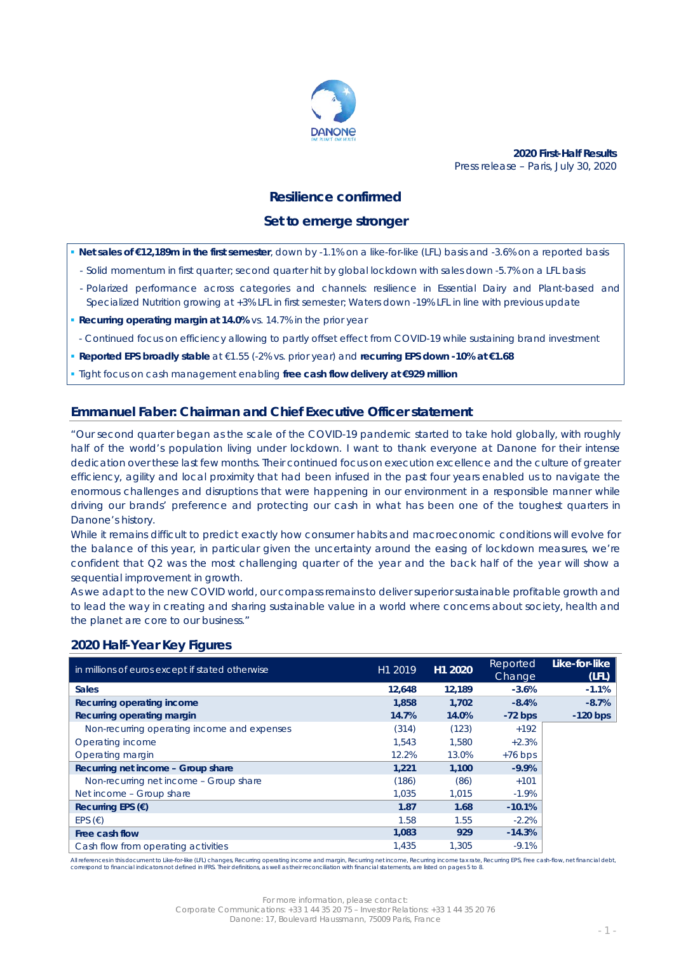

**2020 First-Half Results** Press release – Paris, July 30, 2020

# **Resilience confirmed**

# **Set to emerge stronger**

**Net sales of €12,189m in the first semester**, down by -1.1% on a like-for-like (LFL) basis and -3.6% on a reported basis

- Solid momentum in first quarter; second quarter hit by global lockdown with sales down -5.7% on a LFL basis
- Polarized performance across categories and channels: resilience in Essential Dairy and Plant-based and Specialized Nutrition growing at +3% LFL in first semester; Waters down -19% LFL in line with previous update
- **Recurring operating margin at 14.0%** vs. 14.7% in the prior year

- Continued focus on efficiency allowing to partly offset effect from COVID-19 while sustaining brand investment

**Reported EPS broadly stable** at €1.55 (-2% vs. prior year) and **recurring EPS down -10% at €1.68**

Tight focus on cash management enabling **free cash flow delivery at €929 million**

# **Emmanuel Faber: Chairman and Chief Executive Officer statement**

*"Our second quarter began as the scale of the COVID-19 pandemic started to take hold globally, with roughly half of the world's population living under lockdown. I want to thank everyone at Danone for their intense dedication over these last few months. Their continued focus on execution excellence and the culture of greater efficiency, agility and local proximity that had been infused in the past four years enabled us to navigate the enormous challenges and disruptions that were happening in our environment in a responsible manner while driving our brands' preference and protecting our cash in what has been one of the toughest quarters in Danone's history.*

While it remains difficult to predict exactly how consumer habits and macroeconomic conditions will evolve for *the balance of this year, in particular given the uncertainty around the easing of lockdown measures, we're confident that Q2 was the most challenging quarter of the year and the back half of the year will show a sequential improvement in growth.*

*As we adapt to the new COVID world, our compass remains to deliver superior sustainable profitable growth and to lead the way in creating and sharing sustainable value in a world where concerns about society, health and the planet are core to our business."*

# **2020 Half-Year Key Figures**

| in millions of euros except if stated otherwise | H1 2019 | H1 2020 | Reported<br>Change | Like-for-like<br>(LFL) |
|-------------------------------------------------|---------|---------|--------------------|------------------------|
| <b>Sales</b>                                    | 12.648  | 12,189  | $-3.6%$            | $-1.1%$                |
| Recurring operating income                      | 1,858   | 1,702   | $-8.4%$            | $-8.7%$                |
| Recurring operating margin                      | 14.7%   | 14.0%   | $-72$ bps          | $-120$ bps             |
| Non-recurring operating income and expenses     | (314)   | (123)   | $+192$             |                        |
| Operating income                                | 1.543   | 1.580   | $+2.3%$            |                        |
| Operating margin                                | 12.2%   | 13.0%   | $+76$ bps          |                        |
| Recurring net income - Group share              | 1,221   | 1,100   | $-9.9%$            |                        |
| Non-recurring net income - Group share          | (186)   | (86)    | $+101$             |                        |
| Net income - Group share                        | 1,035   | 1,015   | $-1.9%$            |                        |
| Recurring EPS $(\epsilon)$                      | 1.87    | 1.68    | $-10.1%$           |                        |
| EPS $(\epsilon)$                                | 1.58    | 1.55    | $-2.2%$            |                        |
| Free cash flow                                  | 1,083   | 929     | $-14.3%$           |                        |
| Cash flow from operating activities             | 1,435   | 1.305   | $-9.1%$            |                        |

All references in this document to Like-for-like (LFL) changes, Recurring operating income and margin, Recurring net income, Recurring income tax rate, Recurring EPS, Free cash-flow, net financial debt,<br>correspond to finan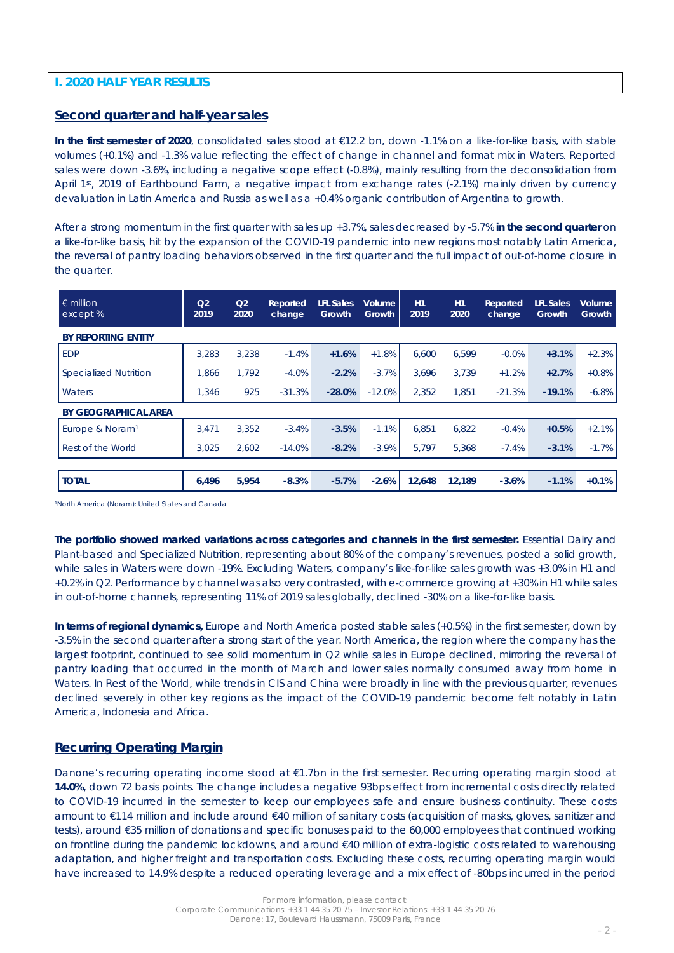# **I. 2020 HALF YEAR RESULTS**

## **Second quarter and half-year sales**

**In the first semester of 2020**, consolidated sales stood at €12.2 bn, down -1.1% on a like-for-like basis, with stable volumes (+0.1%) and -1.3% value reflecting the effect of change in channel and format mix in Waters. Reported sales were down -3.6%, including a negative scope effect (-0.8%), mainly resulting from the deconsolidation from April 1st, 2019 of Earthbound Farm, a negative impact from exchange rates (-2.1%) mainly driven by currency devaluation in Latin America and Russia as well as a +0.4% organic contribution of Argentina to growth.

After a strong momentum in the first quarter with sales up +3.7%, sales decreased by -5.7% **in the second quarter** on a like-for-like basis, hit by the expansion of the COVID-19 pandemic into new regions most notably Latin America, the reversal of pantry loading behaviors observed in the first quarter and the full impact of out-of-home closure in the quarter.

| $\epsilon$ million<br>except % | Q <sub>2</sub><br>2019 | Q <sub>2</sub><br>2020 | Reported<br>change | <b>LFL Sales</b><br>Growth | <b>Volume</b><br><b>Growth</b> | H1<br>2019 | H1<br>2020 | Reported<br>change | <b>LFL Sales</b><br>Growth | <b>Volume</b><br><b>Growth</b> |
|--------------------------------|------------------------|------------------------|--------------------|----------------------------|--------------------------------|------------|------------|--------------------|----------------------------|--------------------------------|
| <b>BY REPORTING ENTITY</b>     |                        |                        |                    |                            |                                |            |            |                    |                            |                                |
| EDP                            | 3.283                  | 3.238                  | $-1.4%$            | $+1.6%$                    | $+1.8%$                        | 6.600      | 6,599      | $-0.0\%$           | $+3.1%$                    | $+2.3%$                        |
| <b>Specialized Nutrition</b>   | 1.866                  | 1.792                  | $-4.0%$            | $-2.2%$                    | $-3.7%$                        | 3.696      | 3.739      | $+1.2%$            | $+2.7%$                    | $+0.8%$                        |
| Waters                         | 1,346                  | 925                    | $-31.3%$           | $-28.0%$                   | $-12.0%$                       | 2,352      | 1,851      | $-21.3%$           | $-19.1%$                   | $-6.8\%$                       |
| <b>BY GEOGRAPHICAL AREA</b>    |                        |                        |                    |                            |                                |            |            |                    |                            |                                |
| Europe & Noram <sup>1</sup>    | 3.471                  | 3,352                  | $-3.4%$            | $-3.5%$                    | $-1.1%$                        | 6.851      | 6,822      | $-0.4%$            | $+0.5%$                    | $+2.1%$                        |
| Rest of the World              | 3.025                  | 2.602                  | $-14.0%$           | $-8.2%$                    | $-3.9\%$                       | 5.797      | 5.368      | $-7.4%$            | $-3.1%$                    | $-1.7%$                        |
|                                |                        |                        |                    |                            |                                |            |            |                    |                            |                                |
| <b>TOTAL</b>                   | 6,496                  | 5,954                  | $-8.3%$            | $-5.7%$                    | $-2.6%$                        | 12,648     | 12.189     | $-3.6%$            | $-1.1%$                    | $+0.1%$                        |

*1North America (Noram): United States and Canada*

**The portfolio showed marked variations across categories and channels in the first semester.** Essential Dairy and Plant-based and Specialized Nutrition, representing about 80% of the company's revenues, posted a solid growth, while sales in Waters were down -19%. Excluding Waters, company's like-for-like sales growth was +3.0% in H1 and +0.2% in Q2. Performance by channel was also very contrasted, with e-commerce growing at +30% in H1 while sales in out-of-home channels, representing 11% of 2019 sales globally, declined -30% on a like-for-like basis.

**In terms of regional dynamics,** Europe and North America posted stable sales (+0.5%) in the first semester, down by -3.5% in the second quarter after a strong start of the year. North America, the region where the company has the largest footprint, continued to see solid momentum in Q2 while sales in Europe declined, mirroring the reversal of pantry loading that occurred in the month of March and lower sales normally consumed away from home in Waters. In Rest of the World, while trends in CIS and China were broadly in line with the previous quarter, revenues declined severely in other key regions as the impact of the COVID-19 pandemic become felt notably in Latin America, Indonesia and Africa.

## **Recurring Operating Margin**

Danone's recurring operating income stood at €1.7bn in the first semester. Recurring operating margin stood at **14.0%**, down 72 basis points. The change includes a negative 93bps effect from incremental costs directly related to COVID-19 incurred in the semester to keep our employees safe and ensure business continuity. These costs amount to €114 million and include around €40 million of sanitary costs (acquisition of masks, gloves, sanitizer and tests), around €35 million of donations and specific bonuses paid to the 60,000 employees that continued working on frontline during the pandemic lockdowns, and around €40 million of extra-logistic costs related to warehousing adaptation, and higher freight and transportation costs. Excluding these costs, recurring operating margin would have increased to 14.9% despite a reduced operating leverage and a mix effect of -80bps incurred in the period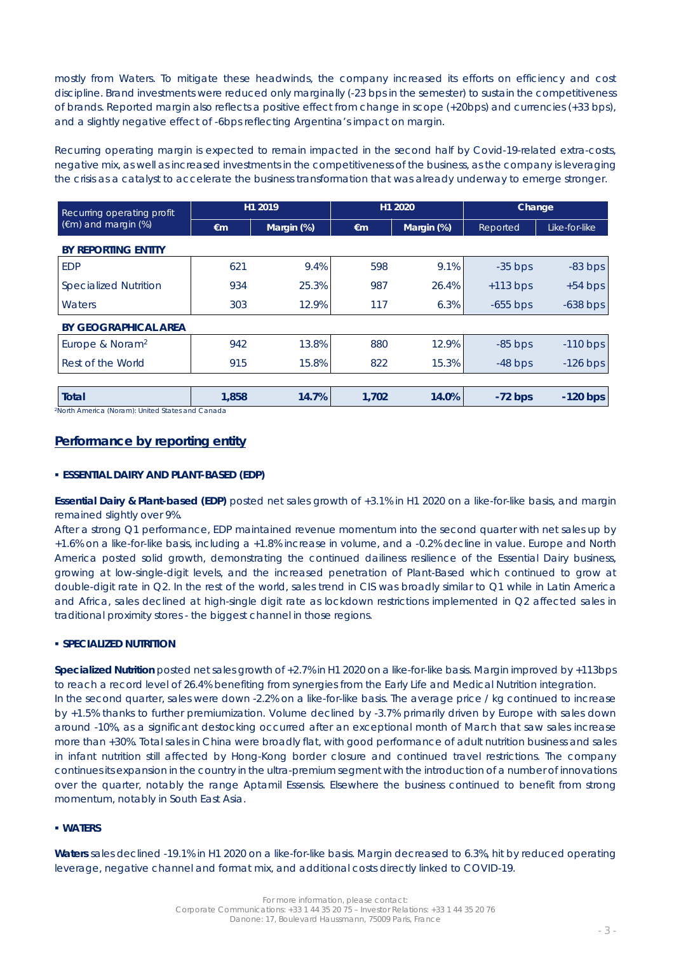mostly from Waters. To mitigate these headwinds, the company increased its efforts on efficiency and cost discipline. Brand investments were reduced only marginally (-23 bps in the semester) to sustain the competitiveness of brands. Reported margin also reflects a positive effect from change in scope (+20bps) and currencies (+33 bps), and a slightly negative effect of -6bps reflecting Argentina's impact on margin.

Recurring operating margin is expected to remain impacted in the second half by Covid-19-related extra-costs, negative mix, as well as increased investments in the competitiveness of the business, as the company is leveraging the crisis as a catalyst to accelerate the business transformation that was already underway to emerge stronger.

| Recurring operating profit                                   | H1 2019      |            | H1 2020      |            | Change     |               |
|--------------------------------------------------------------|--------------|------------|--------------|------------|------------|---------------|
| $(\epsilon m)$ and margin $(\%)$                             | $\epsilon$ m | Margin (%) | $\epsilon$ m | Margin (%) | Reported   | Like-for-like |
| <b>BY REPORTING ENTITY</b>                                   |              |            |              |            |            |               |
| <b>EDP</b>                                                   | 621          | 9.4%       | 598          | 9.1%       | $-35$ bps  | $-83$ bps     |
| <b>Specialized Nutrition</b>                                 | 934          | 25.3%      | 987          | 26.4%      | $+113$ bps | $+54$ bps     |
| Waters                                                       | 303          | 12.9%      | 117          | 6.3%       | $-655$ bps | $-638$ bps    |
| <b>BY GEOGRAPHICAL AREA</b>                                  |              |            |              |            |            |               |
| Europe & Noram <sup>2</sup>                                  | 942          | 13.8%      | 880          | 12.9%      | $-85$ bps  | $-110$ bps    |
| Rest of the World                                            | 915          | 15.8%      | 822          | 15.3%      | $-48$ bps  | $-126$ bps    |
|                                                              |              |            |              |            |            |               |
| Total                                                        | 1,858        | 14.7%      | 1,702        | 14.0%      | $-72$ bps  | $-120$ bps    |
| <sup>2</sup> North America (Noram): United States and Canada |              |            |              |            |            |               |

# **Performance by reporting entity**

#### **ESSENTIAL DAIRY AND PLANT-BASED (EDP)**

**Essential Dairy & Plant-based (EDP)** posted net sales growth of +3.1% in H1 2020 on a like-for-like basis, and margin remained slightly over 9%.

After a strong Q1 performance, EDP maintained revenue momentum into the second quarter with net sales up by +1.6% on a like-for-like basis, including a +1.8% increase in volume, and a -0.2% decline in value. Europe and North America posted solid growth, demonstrating the continued dailiness resilience of the Essential Dairy business, growing at low-single-digit levels, and the increased penetration of Plant-Based which continued to grow at double-digit rate in Q2. In the rest of the world, sales trend in CIS was broadly similar to Q1 while in Latin America and Africa, sales declined at high-single digit rate as lockdown restrictions implemented in Q2 affected sales in traditional proximity stores - the biggest channel in those regions.

#### **SPECIALIZED NUTRITION**

**Specialized Nutrition** posted net sales growth of +2.7% in H1 2020 on a like-for-like basis. Margin improved by +113bps to reach a record level of 26.4% benefiting from synergies from the Early Life and Medical Nutrition integration. In the second quarter, sales were down -2.2% on a like-for-like basis. The average price / kg continued to increase by +1.5% thanks to further premiumization. Volume declined by -3.7% primarily driven by Europe with sales down around -10%, as a significant destocking occurred after an exceptional month of March that saw sales increase more than +30%. Total sales in China were broadly flat, with good performance of adult nutrition business and sales in infant nutrition still affected by Hong-Kong border closure and continued travel restrictions. The company continues its expansion in the country in the ultra-premium segment with the introduction of a number of innovations over the quarter, notably the range Aptamil Essensis. Elsewhere the business continued to benefit from strong momentum, notably in South East Asia.

#### **WATERS**

**Waters** sales declined -19.1% in H1 2020 on a like-for-like basis. Margin decreased to 6.3%, hit by reduced operating leverage, negative channel and format mix, and additional costs directly linked to COVID-19.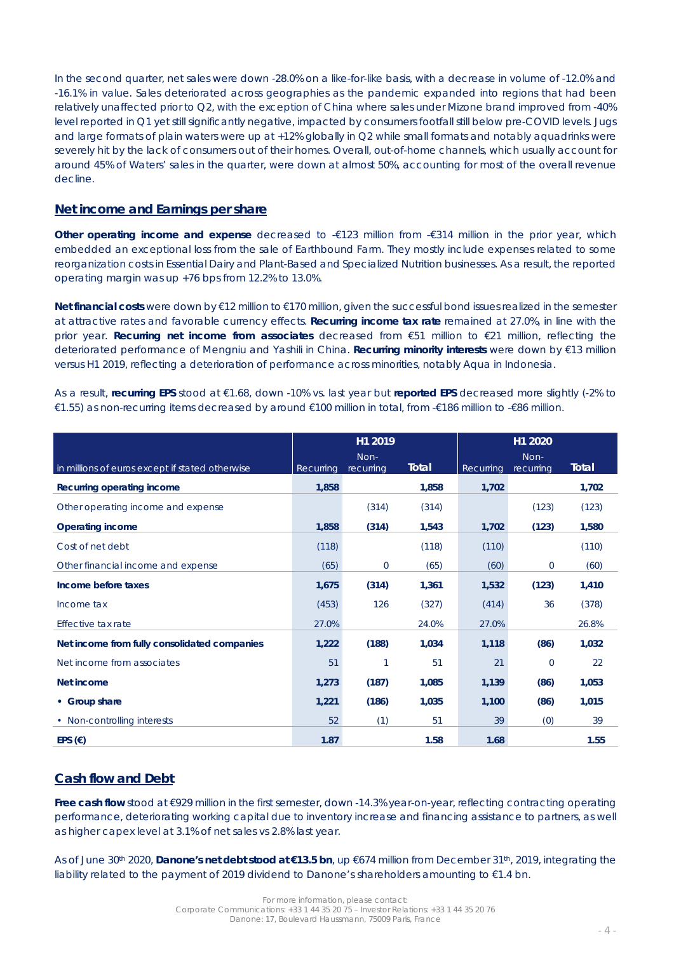In the second quarter, net sales were down -28.0% on a like-for-like basis, with a decrease in volume of -12.0% and -16.1% in value. Sales deteriorated across geographies as the pandemic expanded into regions that had been relatively unaffected prior to Q2, with the exception of China where sales under *Mizone* brand improved from -40% level reported in Q1 yet still significantly negative, impacted by consumers footfall still below pre-COVID levels. Jugs and large formats of plain waters were up at +12% globally in Q2 while small formats and notably aquadrinks were severely hit by the lack of consumers out of their homes. Overall, out-of-home channels, which usually account for around 45% of Waters' sales in the quarter, were down at almost 50%, accounting for most of the overall revenue decline.

#### **Net income and Earnings per share**

**Other operating income and expense** decreased to -€123 million from -€314 million in the prior year, which embedded an exceptional loss from the sale of *Earthbound Farm*. They mostly include expenses related to some reorganization costs in Essential Dairy and Plant-Based and Specialized Nutrition businesses. As a result, the reported operating margin was up +76 bps from 12.2% to 13.0%.

**Net financial costs** were down by €12 million to €170 million, given the successful bond issues realized in the semester at attractive rates and favorable currency effects. **Recurring income tax rate** remained at 27.0%, in line with the prior year. **Recurring net income from associates** decreased from €51 million to €21 million, reflecting the deteriorated performance of Mengniu and Yashili in China. **Recurring minority interests** were down by €13 million versus H1 2019, reflecting a deterioration of performance across minorities, notably Aqua in Indonesia.

As a result, **recurring EPS** stood at €1.68, down -10% vs. last year but **reported EPS** decreased more slightly (-2% to €1.55) as non-recurring items decreased by around €100 million in total, from -€186 million to -€86 million.

|                                                 |           | H1 2019           |       |           | H1 2020           |       |
|-------------------------------------------------|-----------|-------------------|-------|-----------|-------------------|-------|
| in millions of euros except if stated otherwise | Recurring | Non-<br>recurring | Total | Recurring | Non-<br>recurring | Total |
| Recurring operating income                      | 1,858     |                   | 1,858 | 1,702     |                   | 1,702 |
| Other operating income and expense              |           | (314)             | (314) |           | (123)             | (123) |
| <b>Operating income</b>                         | 1,858     | (314)             | 1,543 | 1,702     | (123)             | 1,580 |
| Cost of net debt                                | (118)     |                   | (118) | (110)     |                   | (110) |
| Other financial income and expense              | (65)      | $\mathbf 0$       | (65)  | (60)      | $\overline{0}$    | (60)  |
| Income before taxes                             | 1,675     | (314)             | 1,361 | 1,532     | (123)             | 1,410 |
| Income tax                                      | (453)     | 126               | (327) | (414)     | 36                | (378) |
| Effective tax rate                              | 27.0%     |                   | 24.0% | 27.0%     |                   | 26.8% |
| Net income from fully consolidated companies    | 1,222     | (188)             | 1,034 | 1,118     | (86)              | 1,032 |
| Net income from associates                      | 51        |                   | 51    | 21        | $\overline{0}$    | 22    |
| Net income                                      | 1,273     | (187)             | 1,085 | 1,139     | (86)              | 1,053 |
| • Group share                                   | 1,221     | (186)             | 1,035 | 1,100     | (86)              | 1,015 |
| • Non-controlling interests                     | 52        | (1)               | 51    | 39        | (0)               | 39    |
| EPS $(\epsilon)$                                | 1.87      |                   | 1.58  | 1.68      |                   | 1.55  |

# **Cash flow and Debt**

**Free cash flow** stood at €929 million in the first semester, down -14.3% year-on-year, reflecting contracting operating performance, deteriorating working capital due to inventory increase and financing assistance to partners, as well as higher capex level at 3.1% of net sales vs 2.8% last year.

As of June 30th 2020, **Danone's net debt stood at €13.5 bn**, up €674 million from December 31th, 2019, integrating the liability related to the payment of 2019 dividend to Danone's shareholders amounting to €1.4 bn.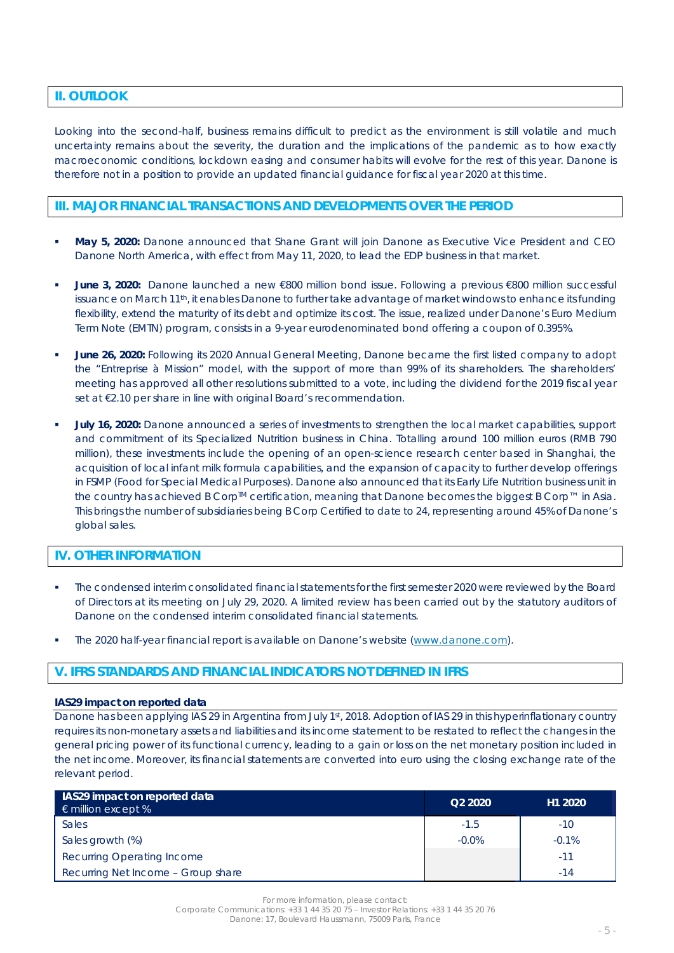# **II. OUTLOOK**

Looking into the second-half, business remains difficult to predict as the environment is still volatile and much uncertainty remains about the severity, the duration and the implications of the pandemic as to how exactly macroeconomic conditions, lockdown easing and consumer habits will evolve for the rest of this year. Danone is therefore not in a position to provide an updated financial guidance for fiscal year 2020 at this time.

# **III. MAJOR FINANCIAL TRANSACTIONS AND DEVELOPMENTS OVER THE PERIOD**

- **May 5, 2020:** Danone announced that Shane Grant will join Danone as Executive Vice President and CEO Danone North America, with effect from May 11, 2020, to lead the EDP business in that market.
- **June 3, 2020:** Danone launched a new €800 million bond issue. Following a previous €800 million successful issuance on March 11th, it enables Danone to further take advantage of market windows to enhance its funding flexibility, extend the maturity of its debt and optimize its cost. The issue, realized under Danone's Euro Medium Term Note (EMTN) program, consists in a 9-year eurodenominated bond offering a coupon of 0.395%.
- **June 26, 2020:** Following its 2020 Annual General Meeting, Danone became the first listed company to adopt the "Entreprise à Mission" model, with the support of more than 99% of its shareholders. The shareholders' meeting has approved all other resolutions submitted to a vote, including the dividend for the 2019 fiscal year set at €2.10 per share in line with original Board's recommendation.
- **July 16, 2020:** Danone announced a series of investments to strengthen the local market capabilities, support and commitment of its Specialized Nutrition business in China. Totalling around 100 million euros (RMB 790 million), these investments include the opening of an open-science research center based in Shanghai, the acquisition of local infant milk formula capabilities, and the expansion of capacity to further develop offerings in FSMP (Food for Special Medical Purposes). Danone also announced that its Early Life Nutrition business unit in the country has achieved B Corp™ certification, meaning that Danone becomes the biggest B Corp™ in Asia. This brings the number of subsidiaries being B Corp Certified to date to 24, representing around 45% of Danone's global sales.

## **IV. OTHER INFORMATION**

- The condensed interim consolidated financial statements for the first semester 2020 were reviewed by the Board of Directors at its meeting on July 29, 2020. A limited review has been carried out by the statutory auditors of Danone on the condensed interim consolidated financial statements.
- The 2020 half-year financial report is available on Danone's website [\(www.danone.com\)](http://www.danone.com/).

## **V. IFRS STANDARDS AND FINANCIAL INDICATORS NOT DEFINED IN IFRS**

#### **IAS29 impact on reported data**

Danone has been applying IAS 29 in Argentina from July 1st, 2018. Adoption of IAS 29 in this hyperinflationary country requires its non-monetary assets and liabilities and its income statement to be restated to reflect the changes in the general pricing power of its functional currency, leading to a gain or loss on the net monetary position included in the net income. Moreover, its financial statements are converted into euro using the closing exchange rate of the relevant period.

| IAS29 impact on reported data<br>$\epsilon$ million except % | Q <sub>2</sub> 20 <sub>20</sub> | H <sub>1</sub> 2020 |
|--------------------------------------------------------------|---------------------------------|---------------------|
| Sales                                                        | $-1.5$                          | $-10$               |
| Sales growth (%)                                             | $-0.0\%$                        | $-0.1%$             |
| <b>Recurring Operating Income</b>                            |                                 | $-11$               |
| Recurring Net Income - Group share                           |                                 | $-14$               |

For more information, please contact:

Corporate Communications: +33 1 44 35 20 75 – Investor Relations: +33 1 44 35 20 76

Danone: 17, Boulevard Haussmann, 75009 Paris, France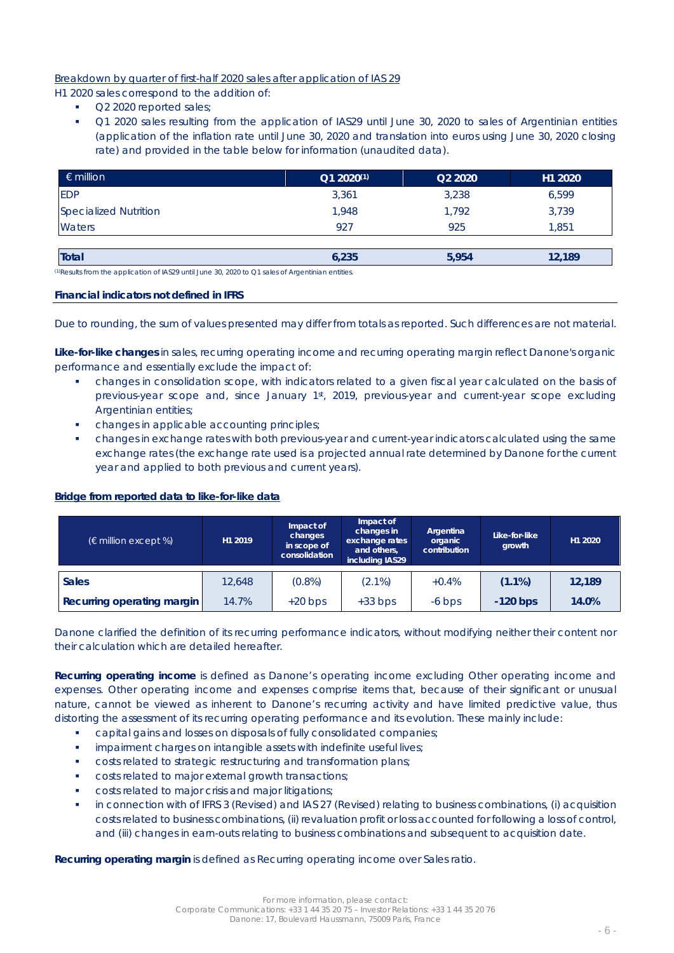Breakdown by quarter of first-half 2020 sales after application of IAS 29

H1 2020 sales correspond to the addition of:

- Q2 2020 reported sales;
- Q1 2020 sales resulting from the application of IAS29 until June 30, 2020 to sales of Argentinian entities (application of the inflation rate until June 30, 2020 and translation into euros using June 30, 2020 closing rate) and provided in the table below for information (unaudited data).

| $\epsilon$ million           | $Q1 2020^{(1)}$ | Q <sub>2</sub> 20 <sub>20</sub> | H1 2020 |
|------------------------------|-----------------|---------------------------------|---------|
| <b>EDP</b>                   | 3,361           | 3,238                           | 6,599   |
| <b>Specialized Nutrition</b> | 1,948           | 1,792                           | 3,739   |
| Waters                       | 927             | 925                             | 1,851   |
|                              |                 |                                 |         |
| <b>Total</b>                 | 6,235           | 5,954                           | 12,189  |

*(1)Results from the application of IAS29 until June 30, 2020 to Q1 sales of Argentinian entities.* 

## **Financial indicators not defined in IFRS**

*Due to rounding, the sum of values presented may differ from totals as reported. Such differences are not material.*

*Like-for-like changes in sales, recurring operating income and recurring operating margin reflect Danone's organic performance and essentially exclude the impact of:* 

- *changes in consolidation scope, with indicators related to a given fiscal year calculated on the basis of previous-year scope and, since January 1st, 2019, previous-year and current-year scope excluding Argentinian entities;*
- *changes in applicable accounting principles;*
- *changes in exchange rates with both previous-year and current-year indicators calculated using the same exchange rates (the exchange rate used is a projected annual rate determined by Danone for the current year and applied to both previous and current years).*

## **Bridge from reported data to like-for-like data**

| (€ million except %)       | H1 2019 | Impact of<br>changes<br>in scope of<br>consolidation | Impact of<br>changes in<br>exchange rates<br>and others.<br>including IAS29 | Argentina<br>organic<br>contribution | Like-for-like<br>growth | H1 2020 |
|----------------------------|---------|------------------------------------------------------|-----------------------------------------------------------------------------|--------------------------------------|-------------------------|---------|
| <b>Sales</b>               | 12,648  | $(0.8\%)$                                            | $(2.1\%)$                                                                   | $+0.4%$                              | $(1.1\%)$               | 12,189  |
| Recurring operating margin | 14.7%   | $+20$ bps                                            | $+33$ bps                                                                   | $-6$ bps                             | $-120$ bps              | 14.0%   |

*Danone clarified the definition of its recurring performance indicators, without modifying neither their content nor their calculation which are detailed hereafter.*

*Recurring operating income is defined as Danone's operating income excluding Other operating income and expenses. Other operating income and expenses comprise items that, because of their significant or unusual nature, cannot be viewed as inherent to Danone's recurring activity and have limited predictive value, thus distorting the assessment of its recurring operating performance and its evolution. These mainly include:*

- *capital gains and losses on disposals of fully consolidated companies;*
- *impairment charges on intangible assets with indefinite useful lives;*
- *costs related to strategic restructuring and transformation plans;*
- *costs related to major external growth transactions;*
- *costs related to major crisis and major litigations;*
- *in connection with of IFRS 3 (Revised) and IAS 27 (Revised) relating to business combinations, (i) acquisition costs related to business combinations, (ii) revaluation profit or loss accounted for following a loss of control, and (iii) changes in earn-outs relating to business combinations and subsequent to acquisition date.*

*Recurring operating margin* is defined as Recurring operating income over Sales ratio.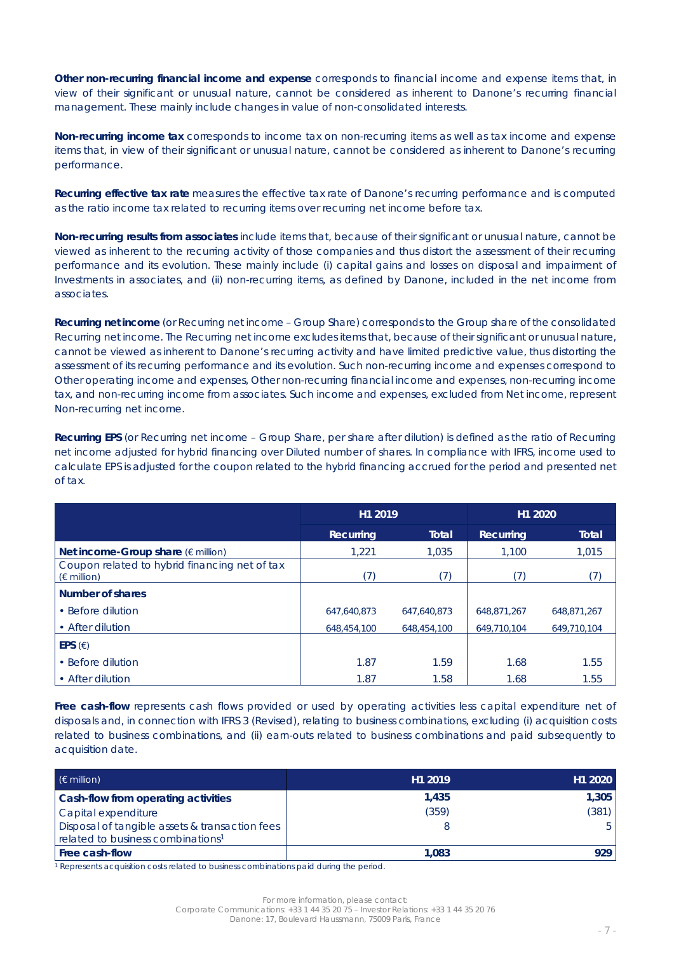*Other non-recurring financial income and expense corresponds to financial income and expense items that, in view of their significant or unusual nature, cannot be considered as inherent to Danone's recurring financial management. These mainly include changes in value of non-consolidated interests.*

*Non-recurring income* **tax** corresponds to income tax on non-recurring items as well as tax income and expense items that, in view of their significant or unusual nature, cannot be considered as inherent to Danone's recurring performance.

*Recurring effective tax rate* measures the effective tax rate of Danone's recurring performance and is computed as the ratio income tax related to recurring items over recurring net income before tax.

*Non-recurring results from associates* include items that, because of their significant or unusual nature, cannot be viewed as inherent to the recurring activity of those companies and thus distort the assessment of their recurring performance and its evolution. These mainly include (i) capital gains and losses on disposal and impairment of Investments in associates, and (ii) non-recurring items, as defined by Danone, included in the net income from associates.

*Recurring net income* (or Recurring net income – Group Share) corresponds to the Group share of the consolidated Recurring net income. The Recurring net income excludes items that, because of their significant or unusual nature, cannot be viewed as inherent to Danone's recurring activity and have limited predictive value, thus distorting the assessment of its recurring performance and its evolution. Such non-recurring income and expenses correspond to Other operating income and expenses, Other non-recurring financial income and expenses, non-recurring income tax, and non-recurring income from associates. Such income and expenses, excluded from Net income, represent Non-recurring net income.

*Recurring EPS* (or Recurring net income – Group Share, per share after dilution) is defined as the ratio of Recurring net income adjusted for hybrid financing over Diluted number of shares. In compliance with IFRS, income used to calculate EPS is adjusted for the coupon related to the hybrid financing accrued for the period and presented net of tax.

|                                                                       | H1 2019     |             | H1 2020     |             |
|-----------------------------------------------------------------------|-------------|-------------|-------------|-------------|
|                                                                       | Recurring   | Total       | Recurring   | Total       |
| Net income-Group share ( $\epsilon$ million)                          | 1.221       | 1.035       | 1,100       | 1.015       |
| Coupon related to hybrid financing net of tax<br>$(\epsilon$ million) | (7`         | (7)         |             |             |
| Number of shares                                                      |             |             |             |             |
| • Before dilution                                                     | 647,640,873 | 647,640,873 | 648.871.267 | 648.871.267 |
| • After dilution                                                      | 648,454,100 | 648,454,100 | 649.710.104 | 649.710.104 |
| EPS $(E)$                                                             |             |             |             |             |
| • Before dilution                                                     | 1.87        | 1.59        | 1.68        | 1.55        |
| • After dilution                                                      | 1.87        | 1.58        | 1.68        | 1.55        |

*Free cash-flow* represents cash flows provided or used by operating activities less capital expenditure net of disposals and, in connection with IFRS 3 (Revised), relating to business combinations, excluding (i) acquisition costs related to business combinations, and (ii) earn-outs related to business combinations and paid subsequently to acquisition date.

| $(\epsilon$ million)                           | H <sub>1</sub> 2019 | H <sub>1</sub> 2020 |
|------------------------------------------------|---------------------|---------------------|
| Cash-flow from operating activities            | 1.435               | 1,305               |
| Capital expenditure                            | (359)               | (381)               |
| Disposal of tangible assets & transaction fees |                     | -5.                 |
| related to business combinations <sup>1</sup>  |                     |                     |
| Free cash-flow                                 | 1.083               | 929                 |

*<sup>1</sup> Represents acquisition costs related to business combinations paid during the period.*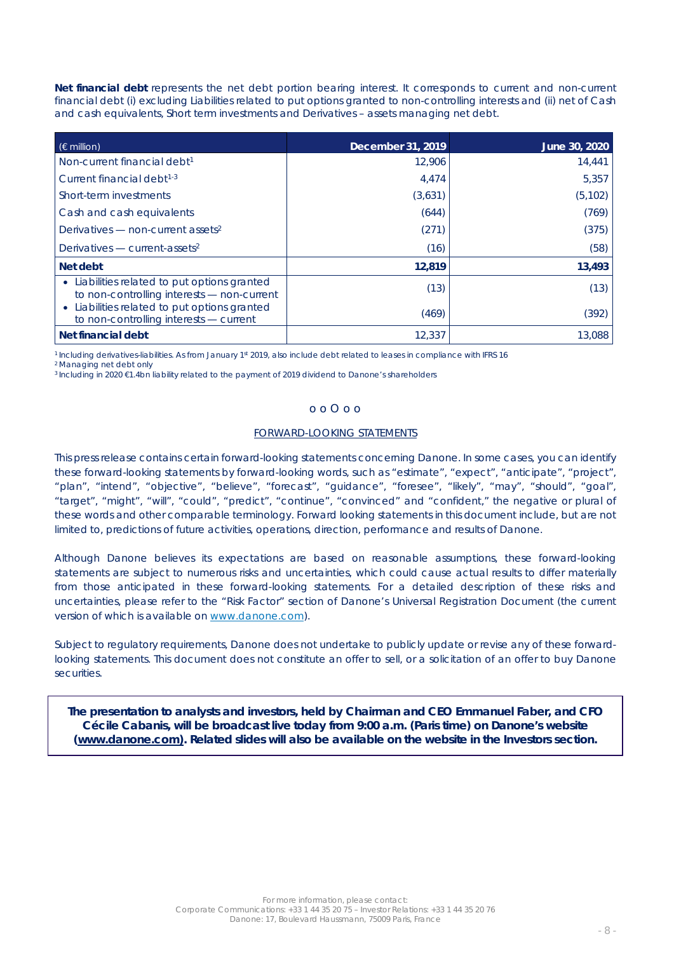*Net financial debt* represents the net debt portion bearing interest. It corresponds to current and non-current financial debt (i) excluding Liabilities related to put options granted to non-controlling interests and (ii) net of Cash and cash equivalents, Short term investments and Derivatives – assets managing net debt.

| $(\epsilon$ million)                                                                       | December 31, 2019 | June 30, 2020 |
|--------------------------------------------------------------------------------------------|-------------------|---------------|
| Non-current financial debt <sup>1</sup>                                                    | 12,906            | 14,441        |
| Current financial debt <sup>1-3</sup>                                                      | 4,474             | 5,357         |
| Short-term investments                                                                     | (3,631)           | (5, 102)      |
| Cash and cash equivalents                                                                  | (644)             | (769)         |
| Derivatives — non-current assets <sup>2</sup>                                              | (271)             | (375)         |
| Derivatives $-$ current-assets <sup>2</sup>                                                | (16)              | (58)          |
| Net debt                                                                                   | 12,819            | 13,493        |
| • Liabilities related to put options granted<br>to non-controlling interests - non-current | (13)              | (13)          |
| • Liabilities related to put options granted<br>to non-controlling interests — current     | (469)             | (392)         |
| Net financial debt                                                                         | 12,337            | 13,088        |

*1 Including derivatives-liabilities. As from January 1st 2019, also include debt related to leases in compliance with IFRS 16 2 Managing net debt only*

*3 Including in 2020 €1.4bn liability related to the payment of 2019 dividend to Danone's shareholders*

#### o o O o o

#### *FORWARD-LOOKING STATEMENTS*

*This press release contains certain forward-looking statements concerning Danone. In some cases, you can identify these forward-looking statements by forward-looking words, such as "estimate", "expect", "anticipate", "project", "plan", "intend", "objective", "believe", "forecast", "guidance", "foresee", "likely", "may", "should", "goal", "target", "might", "will", "could", "predict", "continue", "convinced" and "confident," the negative or plural of these words and other comparable terminology. Forward looking statements in this document include, but are not limited to, predictions of future activities, operations, direction, performance and results of Danone.* 

*Although Danone believes its expectations are based on reasonable assumptions, these forward-looking statements are subject to numerous risks and uncertainties, which could cause actual results to differ materially from those anticipated in these forward-looking statements. For a detailed description of these risks and uncertainties, please refer to the "Risk Factor" section of Danone's Universal Registration Document (the current version of which is available o[n www.danone.com\)](http://www.danone.com/).* 

*Subject to regulatory requirements, Danone does not undertake to publicly update or revise any of these forwardlooking statements. This document does not constitute an offer to sell, or a solicitation of an offer to buy Danone securities.*

*The presentation to analysts and investors, held by Chairman and CEO Emmanuel Faber, and CFO Cécile Cabanis, will be broadcast live today from 9:00 a.m. (Paris time) on Danone's website [\(www.danone.com\)](http://www.danone.com/). Related slides will also be available on the website in the Investors section***.**